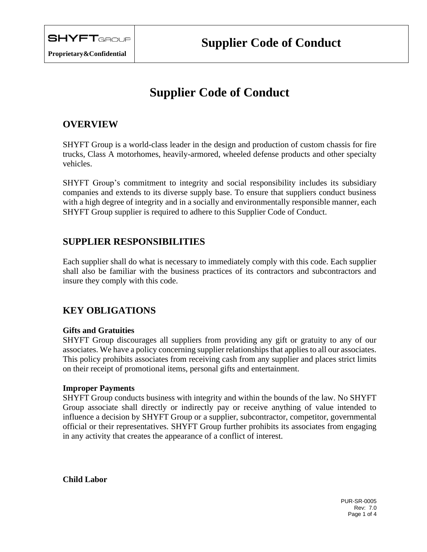# **Supplier Code of Conduct**

# **OVERVIEW**

SHYFT Group is a world-class leader in the design and production of custom chassis for fire trucks, Class A motorhomes, heavily-armored, wheeled defense products and other specialty vehicles.

SHYFT Group's commitment to integrity and social responsibility includes its subsidiary companies and extends to its diverse supply base. To ensure that suppliers conduct business with a high degree of integrity and in a socially and environmentally responsible manner, each SHYFT Group supplier is required to adhere to this Supplier Code of Conduct.

# **SUPPLIER RESPONSIBILITIES**

Each supplier shall do what is necessary to immediately comply with this code. Each supplier shall also be familiar with the business practices of its contractors and subcontractors and insure they comply with this code.

# **KEY OBLIGATIONS**

# **Gifts and Gratuities**

SHYFT Group discourages all suppliers from providing any gift or gratuity to any of our associates. We have a policy concerning supplier relationships that applies to all our associates. This policy prohibits associates from receiving cash from any supplier and places strict limits on their receipt of promotional items, personal gifts and entertainment.

# **Improper Payments**

SHYFT Group conducts business with integrity and within the bounds of the law. No SHYFT Group associate shall directly or indirectly pay or receive anything of value intended to influence a decision by SHYFT Group or a supplier, subcontractor, competitor, governmental official or their representatives. SHYFT Group further prohibits its associates from engaging in any activity that creates the appearance of a conflict of interest.

**Child Labor**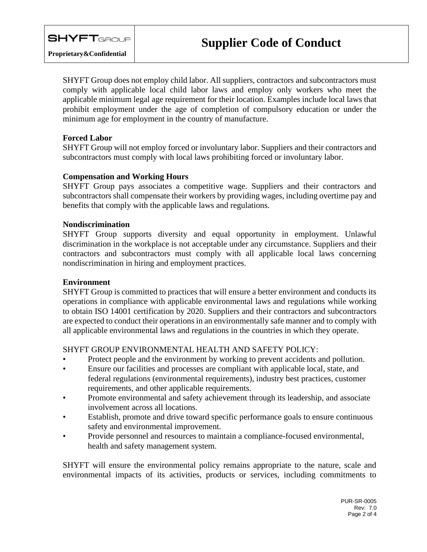SHYFT Group does not employ child labor. All suppliers, contractors and subcontractors must comply with applicable local child labor laws and employ only workers who meet the applicable minimum legal age requirement for their location. Examples include local laws that prohibit employment under the age of completion of compulsory education or under the minimum age for employment in the country of manufacture.

## **Forced Labor**

SHYFT Group will not employ forced or involuntary labor. Suppliers and their contractors and subcontractors must comply with local laws prohibiting forced or involuntary labor.

#### **Compensation and Working Hours**

SHYFT Group pays associates a competitive wage. Suppliers and their contractors and subcontractors shall compensate their workers by providing wages, including overtime pay and benefits that comply with the applicable laws and regulations.

#### **Nondiscrimination**

SHYFT Group supports diversity and equal opportunity in employment. Unlawful discrimination in the workplace is not acceptable under any circumstance. Suppliers and their contractors and subcontractors must comply with all applicable local laws concerning nondiscrimination in hiring and employment practices.

#### **Environment**

SHYFT Group is committed to practices that will ensure a better environment and conducts its operations in compliance with applicable environmental laws and regulations while working to obtain ISO 14001 certification by 2020. Suppliers and their contractors and subcontractors are expected to conduct their operations in an environmentally safe manner and to comply with all applicable environmental laws and regulations in the countries in which they operate.

# SHYFT GROUP ENVIRONMENTAL HEALTH AND SAFETY POLICY:

- Protect people and the environment by working to prevent accidents and pollution.
- Ensure our facilities and processes are compliant with applicable local, state, and federal regulations (environmental requirements), industry best practices, customer requirements, and other applicable requirements.
- Promote environmental and safety achievement through its leadership, and associate involvement across all locations.
- Establish, promote and drive toward specific performance goals to ensure continuous safety and environmental improvement.
- Provide personnel and resources to maintain a compliance-focused environmental, health and safety management system.

SHYFT will ensure the environmental policy remains appropriate to the nature, scale and environmental impacts of its activities, products or services, including commitments to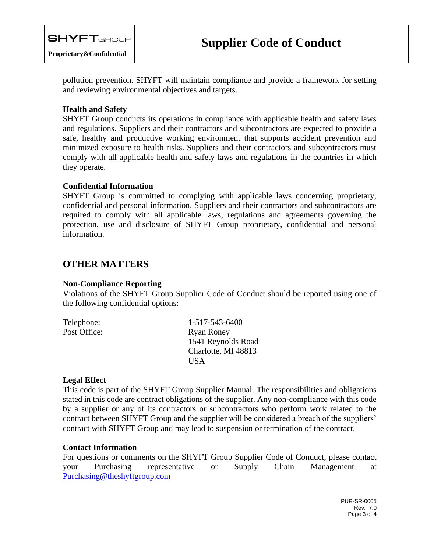

pollution prevention. SHYFT will maintain compliance and provide a framework for setting and reviewing environmental objectives and targets.

## **Health and Safety**

SHYFT Group conducts its operations in compliance with applicable health and safety laws and regulations. Suppliers and their contractors and subcontractors are expected to provide a safe, healthy and productive working environment that supports accident prevention and minimized exposure to health risks. Suppliers and their contractors and subcontractors must comply with all applicable health and safety laws and regulations in the countries in which they operate.

#### **Confidential Information**

SHYFT Group is committed to complying with applicable laws concerning proprietary, confidential and personal information. Suppliers and their contractors and subcontractors are required to comply with all applicable laws, regulations and agreements governing the protection, use and disclosure of SHYFT Group proprietary, confidential and personal information.

# **OTHER MATTERS**

#### **Non-Compliance Reporting**

Violations of the SHYFT Group Supplier Code of Conduct should be reported using one of the following confidential options:

| Telephone:   | 1-517-543-6400      |
|--------------|---------------------|
| Post Office: | <b>Ryan Roney</b>   |
|              | 1541 Reynolds Road  |
|              | Charlotte, MI 48813 |
|              | US A                |

# **Legal Effect**

This code is part of the SHYFT Group Supplier Manual. The responsibilities and obligations stated in this code are contract obligations of the supplier. Any non-compliance with this code by a supplier or any of its contractors or subcontractors who perform work related to the contract between SHYFT Group and the supplier will be considered a breach of the suppliers' contract with SHYFT Group and may lead to suspension or termination of the contract.

#### **Contact Information**

For questions or comments on the SHYFT Group Supplier Code of Conduct, please contact your Purchasing representative or Supply Chain Management at [Purchasing@theshyftgroup.com](mailto:Purchasing@theshyftgroup.com)